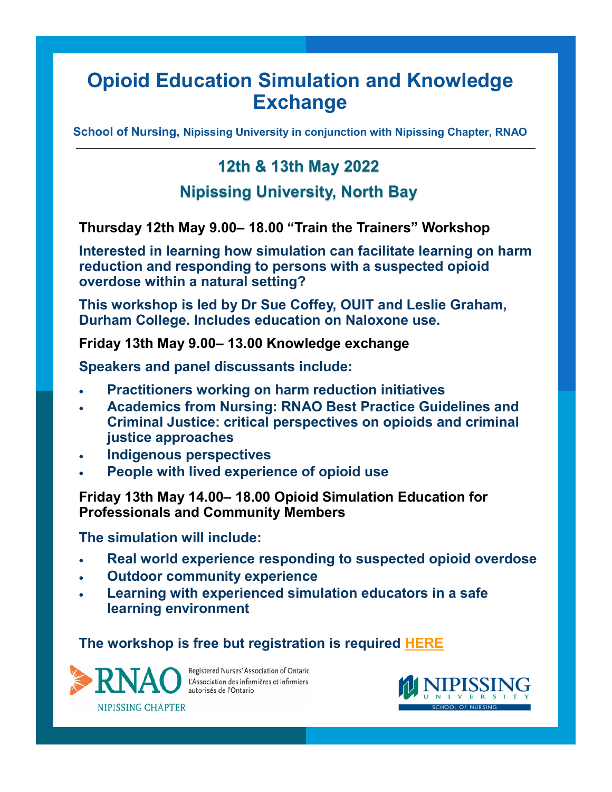# **Opioid Education Simulation and Knowledge Exchange**

**School of Nursing, Nipissing University in conjunction with Nipissing Chapter, RNAO**

## **12th & 13th May 2022**

### **Nipissing University, North Bay**

**Thursday 12th May 9.00– 18.00 "Train the Trainers" Workshop** 

**Interested in learning how simulation can facilitate learning on harm reduction and responding to persons with a suspected opioid overdose within a natural setting?** 

**This workshop is led by Dr Sue Coffey, OUIT and Leslie Graham, Durham College. Includes education on Naloxone use.** 

**Friday 13th May 9.00– 13.00 Knowledge exchange** 

**Speakers and panel discussants include:**

- **Practitioners working on harm reduction initiatives**
- **Academics from Nursing: RNAO Best Practice Guidelines and Criminal Justice: critical perspectives on opioids and criminal justice approaches**
- **Indigenous perspectives**
- **People with lived experience of opioid use**

**Friday 13th May 14.00– 18.00 Opioid Simulation Education for Professionals and Community Members**

**The simulation will include:**

- **Real world experience responding to suspected opioid overdose**
- **Outdoor community experience**
- **Learning with experienced simulation educators in a safe learning environment**

#### **The workshop is free but registration is required [HERE](https://www.eventbrite.ca/e/opioid-education-workshop-tickets-307529036627)**



Registered Nurses' Association of Ontario L'Association des infirmières et infirmiers autorisés de l'Ontario